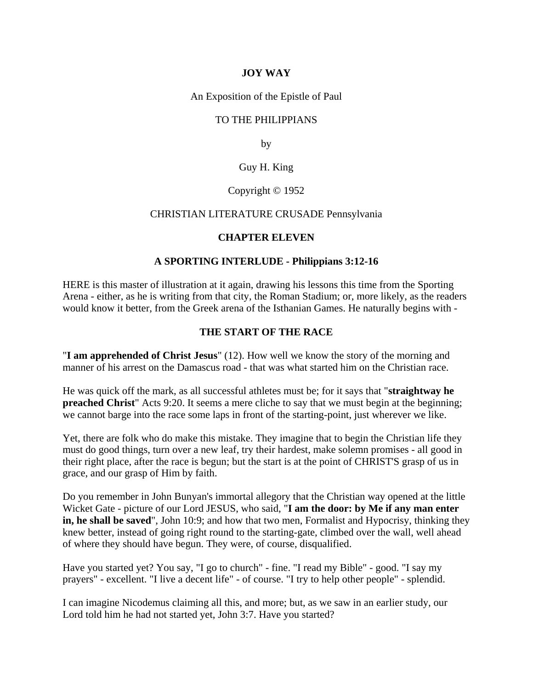## **JOY WAY**

An Exposition of the Epistle of Paul

## TO THE PHILIPPIANS

by

## Guy H. King

## Copyright © 1952

#### CHRISTIAN LITERATURE CRUSADE Pennsylvania

#### **CHAPTER ELEVEN**

#### **A SPORTING INTERLUDE - Philippians 3:12-16**

HERE is this master of illustration at it again, drawing his lessons this time from the Sporting Arena - either, as he is writing from that city, the Roman Stadium; or, more likely, as the readers would know it better, from the Greek arena of the Isthanian Games. He naturally begins with -

## **THE START OF THE RACE**

"**I am apprehended of Christ Jesus**" (12). How well we know the story of the morning and manner of his arrest on the Damascus road - that was what started him on the Christian race.

He was quick off the mark, as all successful athletes must be; for it says that "**straightway he preached Christ**" Acts 9:20. It seems a mere cliche to say that we must begin at the beginning; we cannot barge into the race some laps in front of the starting-point, just wherever we like.

Yet, there are folk who do make this mistake. They imagine that to begin the Christian life they must do good things, turn over a new leaf, try their hardest, make solemn promises - all good in their right place, after the race is begun; but the start is at the point of CHRIST'S grasp of us in grace, and our grasp of Him by faith.

Do you remember in John Bunyan's immortal allegory that the Christian way opened at the little Wicket Gate - picture of our Lord JESUS, who said, "**I am the door: by Me if any man enter in, he shall be saved**", John 10:9; and how that two men, Formalist and Hypocrisy, thinking they knew better, instead of going right round to the starting-gate, climbed over the wall, well ahead of where they should have begun. They were, of course, disqualified.

Have you started yet? You say, "I go to church" - fine. "I read my Bible" - good. "I say my prayers" - excellent. "I live a decent life" - of course. "I try to help other people" - splendid.

I can imagine Nicodemus claiming all this, and more; but, as we saw in an earlier study, our Lord told him he had not started yet, John 3:7. Have you started?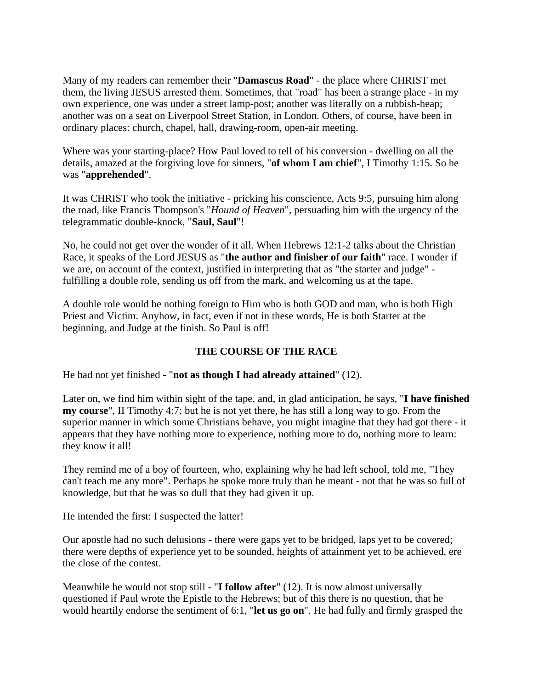Many of my readers can remember their "**Damascus Road**" - the place where CHRIST met them, the living JESUS arrested them. Sometimes, that "road" has been a strange place - in my own experience, one was under a street lamp-post; another was literally on a rubbish-heap; another was on a seat on Liverpool Street Station, in London. Others, of course, have been in ordinary places: church, chapel, hall, drawing-room, open-air meeting.

Where was your starting-place? How Paul loved to tell of his conversion - dwelling on all the details, amazed at the forgiving love for sinners, "**of whom I am chief**", I Timothy 1:15. So he was "**apprehended**".

It was CHRIST who took the initiative - pricking his conscience, Acts 9:5, pursuing him along the road, like Francis Thompson's "*Hound of Heaven*", persuading him with the urgency of the telegrammatic double-knock, "**Saul, Saul**"!

No, he could not get over the wonder of it all. When Hebrews 12:1-2 talks about the Christian Race, it speaks of the Lord JESUS as "**the author and finisher of our faith**" race. I wonder if we are, on account of the context, justified in interpreting that as "the starter and judge" fulfilling a double role, sending us off from the mark, and welcoming us at the tape.

A double role would be nothing foreign to Him who is both GOD and man, who is both High Priest and Victim. Anyhow, in fact, even if not in these words, He is both Starter at the beginning, and Judge at the finish. So Paul is off!

# **THE COURSE OF THE RACE**

He had not yet finished - "**not as though I had already attained**" (12).

Later on, we find him within sight of the tape, and, in glad anticipation, he says, "**I have finished my course**", II Timothy 4:7; but he is not yet there, he has still a long way to go. From the superior manner in which some Christians behave, you might imagine that they had got there - it appears that they have nothing more to experience, nothing more to do, nothing more to learn: they know it all!

They remind me of a boy of fourteen, who, explaining why he had left school, told me, "They can't teach me any more". Perhaps he spoke more truly than he meant - not that he was so full of knowledge, but that he was so dull that they had given it up.

He intended the first: I suspected the latter!

Our apostle had no such delusions - there were gaps yet to be bridged, laps yet to be covered; there were depths of experience yet to be sounded, heights of attainment yet to be achieved, ere the close of the contest.

Meanwhile he would not stop still - "**I follow after**" (12). It is now almost universally questioned if Paul wrote the Epistle to the Hebrews; but of this there is no question, that he would heartily endorse the sentiment of 6:1, "**let us go on**". He had fully and firmly grasped the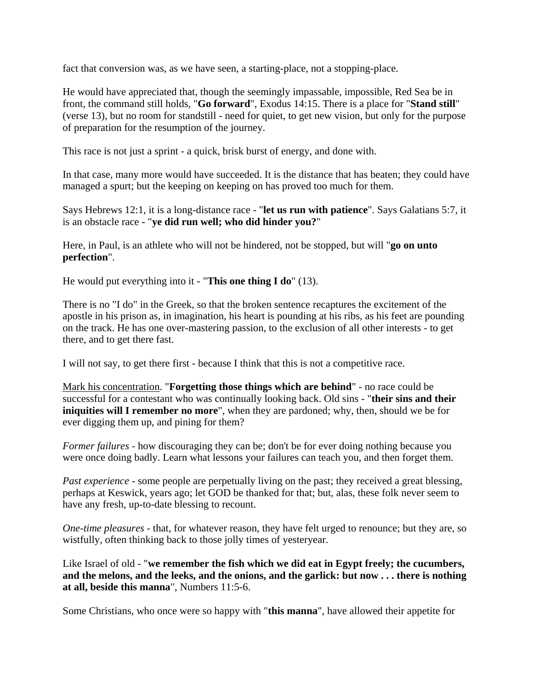fact that conversion was, as we have seen, a starting-place, not a stopping-place.

He would have appreciated that, though the seemingly impassable, impossible, Red Sea be in front, the command still holds, "**Go forward**", Exodus 14:15. There is a place for "**Stand still**" (verse 13), but no room for standstill - need for quiet, to get new vision, but only for the purpose of preparation for the resumption of the journey.

This race is not just a sprint - a quick, brisk burst of energy, and done with.

In that case, many more would have succeeded. It is the distance that has beaten; they could have managed a spurt; but the keeping on keeping on has proved too much for them.

Says Hebrews 12:1, it is a long-distance race - "**let us run with patience**". Says Galatians 5:7, it is an obstacle race - "**ye did run well; who did hinder you?**"

Here, in Paul, is an athlete who will not be hindered, not be stopped, but will "**go on unto perfection**".

He would put everything into it - "**This one thing I do**" (13).

There is no "I do" in the Greek, so that the broken sentence recaptures the excitement of the apostle in his prison as, in imagination, his heart is pounding at his ribs, as his feet are pounding on the track. He has one over-mastering passion, to the exclusion of all other interests - to get there, and to get there fast.

I will not say, to get there first - because I think that this is not a competitive race.

Mark his concentration. "**Forgetting those things which are behind**" - no race could be successful for a contestant who was continually looking back. Old sins - "**their sins and their iniquities will I remember no more**", when they are pardoned; why, then, should we be for ever digging them up, and pining for them?

*Former failures* - how discouraging they can be; don't be for ever doing nothing because you were once doing badly. Learn what lessons your failures can teach you, and then forget them.

*Past experience* - some people are perpetually living on the past; they received a great blessing, perhaps at Keswick, years ago; let GOD be thanked for that; but, alas, these folk never seem to have any fresh, up-to-date blessing to recount.

*One-time pleasures* - that, for whatever reason, they have felt urged to renounce; but they are, so wistfully, often thinking back to those jolly times of yesteryear.

Like Israel of old - "**we remember the fish which we did eat in Egypt freely; the cucumbers, and the melons, and the leeks, and the onions, and the garlick: but now . . . there is nothing at all, beside this manna**", Numbers 11:5-6.

Some Christians, who once were so happy with "**this manna**", have allowed their appetite for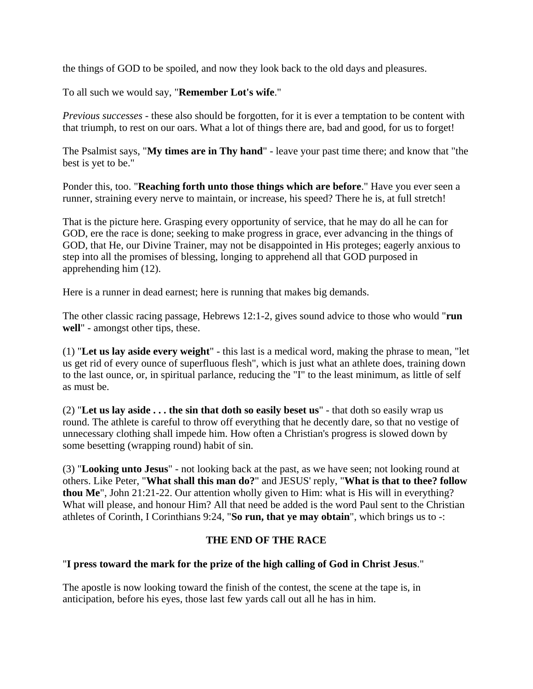the things of GOD to be spoiled, and now they look back to the old days and pleasures.

To all such we would say, "**Remember Lot's wife**."

*Previous successes* - these also should be forgotten, for it is ever a temptation to be content with that triumph, to rest on our oars. What a lot of things there are, bad and good, for us to forget!

The Psalmist says, "**My times are in Thy hand**" - leave your past time there; and know that "the best is yet to be."

Ponder this, too. "**Reaching forth unto those things which are before**." Have you ever seen a runner, straining every nerve to maintain, or increase, his speed? There he is, at full stretch!

That is the picture here. Grasping every opportunity of service, that he may do all he can for GOD, ere the race is done; seeking to make progress in grace, ever advancing in the things of GOD, that He, our Divine Trainer, may not be disappointed in His proteges; eagerly anxious to step into all the promises of blessing, longing to apprehend all that GOD purposed in apprehending him (12).

Here is a runner in dead earnest; here is running that makes big demands.

The other classic racing passage, Hebrews 12:1-2, gives sound advice to those who would "**run well**" - amongst other tips, these.

(1) "**Let us lay aside every weight**" - this last is a medical word, making the phrase to mean, "let us get rid of every ounce of superfluous flesh", which is just what an athlete does, training down to the last ounce, or, in spiritual parlance, reducing the "I" to the least minimum, as little of self as must be.

(2) "**Let us lay aside . . . the sin that doth so easily beset us**" - that doth so easily wrap us round. The athlete is careful to throw off everything that he decently dare, so that no vestige of unnecessary clothing shall impede him. How often a Christian's progress is slowed down by some besetting (wrapping round) habit of sin.

(3) "**Looking unto Jesus**" - not looking back at the past, as we have seen; not looking round at others. Like Peter, "**What shall this man do?**" and JESUS' reply, "**What is that to thee? follow thou Me**", John 21:21-22. Our attention wholly given to Him: what is His will in everything? What will please, and honour Him? All that need be added is the word Paul sent to the Christian athletes of Corinth, I Corinthians 9:24, "**So run, that ye may obtain**", which brings us to -:

# **THE END OF THE RACE**

# "**I press toward the mark for the prize of the high calling of God in Christ Jesus**."

The apostle is now looking toward the finish of the contest, the scene at the tape is, in anticipation, before his eyes, those last few yards call out all he has in him.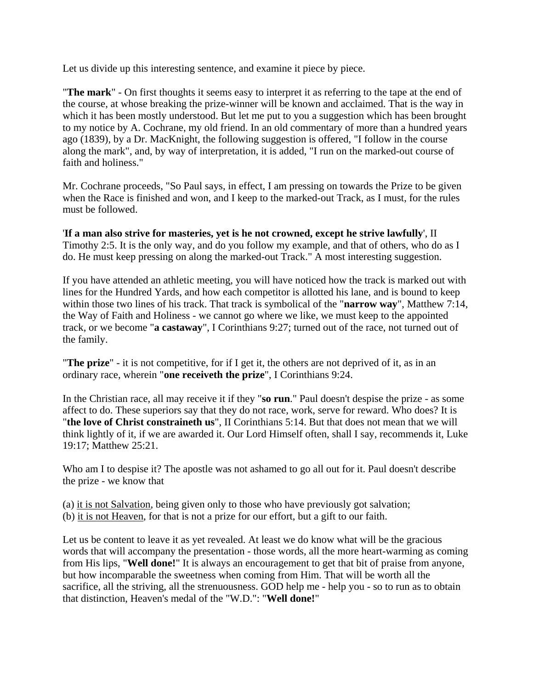Let us divide up this interesting sentence, and examine it piece by piece.

"**The mark**" - On first thoughts it seems easy to interpret it as referring to the tape at the end of the course, at whose breaking the prize-winner will be known and acclaimed. That is the way in which it has been mostly understood. But let me put to you a suggestion which has been brought to my notice by A. Cochrane, my old friend. In an old commentary of more than a hundred years ago (1839), by a Dr. MacKnight, the following suggestion is offered, "I follow in the course along the mark", and, by way of interpretation, it is added, "I run on the marked-out course of faith and holiness."

Mr. Cochrane proceeds, "So Paul says, in effect, I am pressing on towards the Prize to be given when the Race is finished and won, and I keep to the marked-out Track, as I must, for the rules must be followed.

'**If a man also strive for masteries, yet is he not crowned, except he strive lawfully**', II Timothy 2:5. It is the only way, and do you follow my example, and that of others, who do as I do. He must keep pressing on along the marked-out Track." A most interesting suggestion.

If you have attended an athletic meeting, you will have noticed how the track is marked out with lines for the Hundred Yards, and how each competitor is allotted his lane, and is bound to keep within those two lines of his track. That track is symbolical of the "**narrow way**", Matthew 7:14, the Way of Faith and Holiness - we cannot go where we like, we must keep to the appointed track, or we become "**a castaway**", I Corinthians 9:27; turned out of the race, not turned out of the family.

"**The prize**" - it is not competitive, for if I get it, the others are not deprived of it, as in an ordinary race, wherein "**one receiveth the prize**", I Corinthians 9:24.

In the Christian race, all may receive it if they "**so run**." Paul doesn't despise the prize - as some affect to do. These superiors say that they do not race, work, serve for reward. Who does? It is "**the love of Christ constraineth us**", II Corinthians 5:14. But that does not mean that we will think lightly of it, if we are awarded it. Our Lord Himself often, shall I say, recommends it, Luke 19:17; Matthew 25:21.

Who am I to despise it? The apostle was not ashamed to go all out for it. Paul doesn't describe the prize - we know that

(a) it is not Salvation, being given only to those who have previously got salvation; (b) it is not Heaven, for that is not a prize for our effort, but a gift to our faith.

Let us be content to leave it as yet revealed. At least we do know what will be the gracious words that will accompany the presentation - those words, all the more heart-warming as coming from His lips, "**Well done!**" It is always an encouragement to get that bit of praise from anyone, but how incomparable the sweetness when coming from Him. That will be worth all the sacrifice, all the striving, all the strenuousness. GOD help me - help you - so to run as to obtain that distinction, Heaven's medal of the "W.D.": "**Well done!**"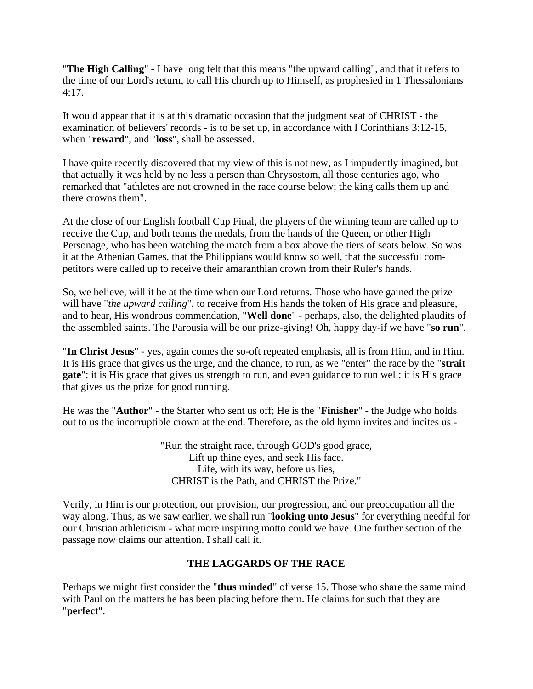"**The High Calling**" - I have long felt that this means "the upward calling", and that it refers to the time of our Lord's return, to call His church up to Himself, as prophesied in 1 Thessalonians 4:17.

It would appear that it is at this dramatic occasion that the judgment seat of CHRIST - the examination of believers' records - is to be set up, in accordance with I Corinthians 3:12-15, when "**reward**", and "**loss**", shall be assessed.

I have quite recently discovered that my view of this is not new, as I impudently imagined, but that actually it was held by no less a person than Chrysostom, all those centuries ago, who remarked that "athletes are not crowned in the race course below; the king calls them up and there crowns them".

At the close of our English football Cup Final, the players of the winning team are called up to receive the Cup, and both teams the medals, from the hands of the Queen, or other High Personage, who has been watching the match from a box above the tiers of seats below. So was it at the Athenian Games, that the Philippians would know so well, that the successful competitors were called up to receive their amaranthian crown from their Ruler's hands.

So, we believe, will it be at the time when our Lord returns. Those who have gained the prize will have "*the upward calling*", to receive from His hands the token of His grace and pleasure, and to hear, His wondrous commendation, "**Well done**" - perhaps, also, the delighted plaudits of the assembled saints. The Parousia will be our prize-giving! Oh, happy day-if we have "**so run**".

"**In Christ Jesus**" - yes, again comes the so-oft repeated emphasis, all is from Him, and in Him. It is His grace that gives us the urge, and the chance, to run, as we "enter" the race by the "**strait gate**"; it is His grace that gives us strength to run, and even guidance to run well; it is His grace that gives us the prize for good running.

He was the "**Author**" - the Starter who sent us off; He is the "**Finisher**" - the Judge who holds out to us the incorruptible crown at the end. Therefore, as the old hymn invites and incites us -

> "Run the straight race, through GOD's good grace, Lift up thine eyes, and seek His face. Life, with its way, before us lies, CHRIST is the Path, and CHRIST the Prize."

Verily, in Him is our protection, our provision, our progression, and our preoccupation all the way along. Thus, as we saw earlier, we shall run "**looking unto Jesus**" for everything needful for our Christian athleticism - what more inspiring motto could we have. One further section of the passage now claims our attention. I shall call it.

## **THE LAGGARDS OF THE RACE**

Perhaps we might first consider the "**thus minded**" of verse 15. Those who share the same mind with Paul on the matters he has been placing before them. He claims for such that they are "**perfect**".